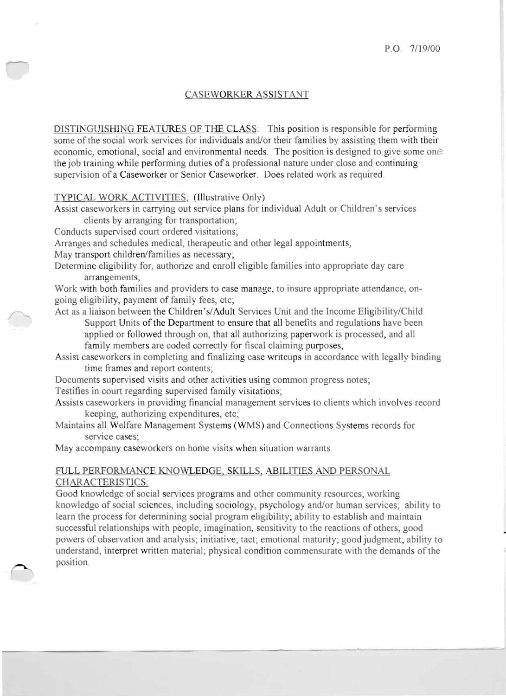## CASEWORKER ASSISTANT

DISTINGUISHING FEATURES OF THE CLASS: This position is responsible for performing some of the social work services for individuals and/or their families by assisting them with their economic, emotional, social and environmental needs. The position is designed to give some one the job training while performing duties of a professional nature under close and continuing supervision of a Caseworker or Senior Caseworker. Does related work as required.

TYPICAL WORK ACTIVITIES; (Illustrative Only)

Assist caseworkers in carrying out ervice plans for individual Adult or Children's services clients by arranging for transportation;

Conducts supervised court ordered visitations;

Arranges and schedules medical, therapeutic and other legal appointments;

May transport children/families as necessary;

Determine eligibility for, authorize and enroll eligible families into appropriate day care arrangements;

Work with both families and providers to case manage, to insure appropriate attendance, ongoing eligibility, payment of family fees, etc;

- Act as a liaison between the Children's/Adult Services Unit and the Income Eligibility/Child Support Units of the Department to ensure that all benefits and regulations have been applied or followed through on, that all authorizing paperwork is processed, and all family members are coded correctly for fiscal claiming purposes;
- Assist caseworkers in completing and finalizing case writeups in accordance with legally binding time frames and report contents;

Documents supervised visits and other activities using common progress notes;

Testifies in court regarding supervised family visitations;

Assists caseworkers in providing financial management services to clients which involves record keeping, authorizing expenditures, etc;

Maintains all Welfare Management Systems (WMS) and Connections Systems records for service cases;

May accompany caseworkers on home visits when situation warrants.

## FULL PERFORMANCE KNOWLEDGE, SKILLS, ABILITIES AND PERSONAL CHARACTERISTICS:

Good knowledge of social services programs and other community resources; working knowledge of social sciences, including ociology, psychology and/or human services; ability to learn the process for determining social program eligibility; ability to establish and maintain successful relationships with people, imagination, sensitivity to the reactions of others; good powers of observation and analysis; initiative; tact; emotional maturity; good judgment; ability to understand, interpret written material; physical condition commensurate with the demands of the position.